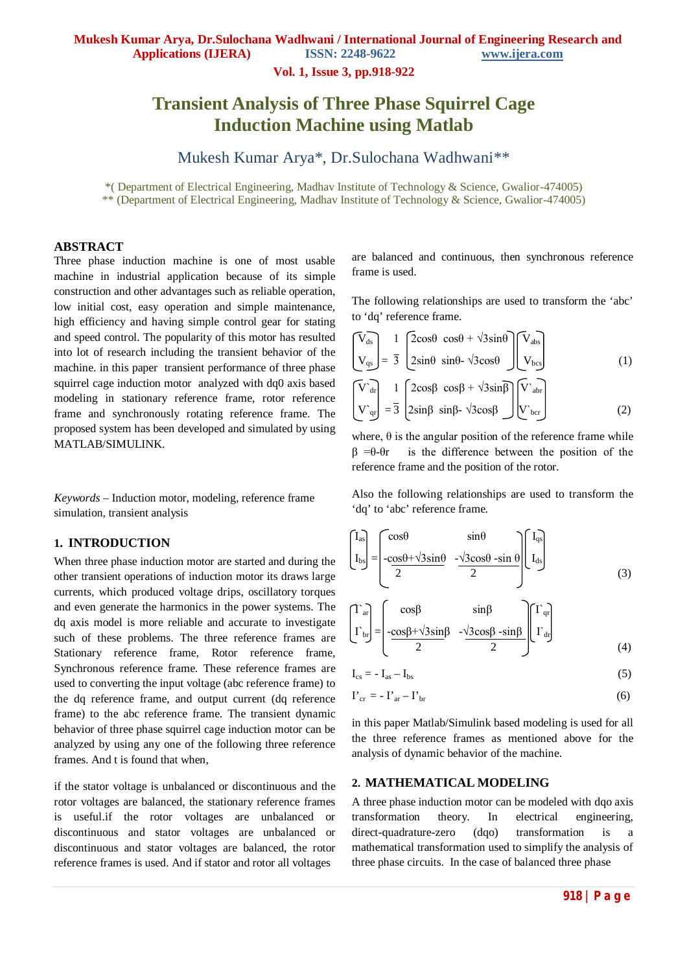**Vol. 1, Issue 3, pp.918-922**

# **Transient Analysis of Three Phase Squirrel Cage Induction Machine using Matlab**

Mukesh Kumar Arya\*, Dr.Sulochana Wadhwani\*\*

\*( Department of Electrical Engineering, Madhav Institute of Technology & Science, Gwalior-474005) \*\* (Department of Electrical Engineering, Madhav Institute of Technology & Science, Gwalior-474005)

## **ABSTRACT**

Three phase induction machine is one of most usable machine in industrial application because of its simple construction and other advantages such as reliable operation, low initial cost, easy operation and simple maintenance, high efficiency and having simple control gear for stating and speed control. The popularity of this motor has resulted into lot of research including the transient behavior of the machine. in this paper transient performance of three phase squirrel cage induction motor analyzed with dq0 axis based modeling in stationary reference frame, rotor reference frame and synchronously rotating reference frame. The proposed system has been developed and simulated by using MATLAB/SIMULINK.

*Keywords* – Induction motor, modeling, reference frame simulation, transient analysis

### **1. INTRODUCTION**

When three phase induction motor are started and during the other transient operations of induction motor its draws large currents, which produced voltage drips, oscillatory torques and even generate the harmonics in the power systems. The dq axis model is more reliable and accurate to investigate such of these problems. The three reference frames are Stationary reference frame, Rotor reference frame, Synchronous reference frame. These reference frames are used to converting the input voltage (abc reference frame) to the dq reference frame, and output current (dq reference frame) to the abc reference frame. The transient dynamic behavior of three phase squirrel cage induction motor can be analyzed by using any one of the following three reference frames. And t is found that when,

if the stator voltage is unbalanced or discontinuous and the rotor voltages are balanced, the stationary reference frames is useful.if the rotor voltages are unbalanced or discontinuous and stator voltages are unbalanced or discontinuous and stator voltages are balanced, the rotor reference frames is used. And if stator and rotor all voltages

are balanced and continuous, then synchronous reference frame is used.

The following relationships are used to transform the 'abc' to 'dq' reference frame.

$$
\begin{bmatrix}\nV_{ds} \\
V_{qs}\n\end{bmatrix} = \frac{1}{3} \begin{bmatrix}\n2\cos\theta & \cos\theta + \sqrt{3}\sin\theta \\
2\sin\theta & \sin\theta - \sqrt{3}\cos\theta\n\end{bmatrix} \begin{bmatrix}\nV_{abs} \\
V_{bos}\n\end{bmatrix}
$$
\n(1)

$$
\begin{bmatrix}\nV_{dr} \\
V_{gr} \\
\hline\n\end{bmatrix} = \frac{1}{3} \begin{bmatrix}\n2\cos\beta & \cos\beta + \sqrt{3}\sin\beta \\
2\sin\beta & \sin\beta - \sqrt{3}\cos\beta\n\end{bmatrix} \begin{bmatrix}\nV_{abr} \\
V_{bcr}\n\end{bmatrix}
$$
\n(2)

where,  $\theta$  is the angular position of the reference frame while  $β = θ - θr$  is the difference between the position of the reference frame and the position of the rotor.

Also the following relationships are used to transform the 'dq' to 'abc' reference frame.

$$
\begin{bmatrix}\nI_{as} \\
I_{bs}\n\end{bmatrix} = \begin{bmatrix}\n\cos\theta & \sin\theta \\
-\cos\theta + \sqrt{3}\sin\theta & -\sqrt{3}\cos\theta - \sin\theta \\
2 & 2\n\end{bmatrix} \begin{bmatrix}\nI_{qs} \\
I_{ds}\n\end{bmatrix}
$$
\n(3)

$$
\begin{bmatrix} \Gamma_{\text{ar}} \\ \Gamma_{\text{br}} \end{bmatrix} = \begin{bmatrix} \cos\beta & \sin\beta & \Gamma_{\text{qr}} \\ -\frac{\cos\beta + \sqrt{3}\sin\beta}{2} & -\frac{\sqrt{3}\cos\beta - \sin\beta}{2} \end{bmatrix} \begin{bmatrix} \Gamma_{\text{qr}} \\ \Gamma_{\text{dr}} \end{bmatrix}
$$
(4)

$$
I_{cs} = -I_{as} - I_{bs} \tag{5}
$$

$$
\mathbf{I'}_{\rm cr} = -\mathbf{I'}_{\rm ar} - \mathbf{I'}_{\rm br} \tag{6}
$$

in this paper Matlab/Simulink based modeling is used for all the three reference frames as mentioned above for the analysis of dynamic behavior of the machine.

#### **2. MATHEMATICAL MODELING**

A three phase induction motor can be modeled with dqo axis transformation theory. In electrical engineering, direct-quadrature-zero (dqo) transformation is a mathematical transformation used to simplify the analysis of three phase circuits. In the case of balanced three phase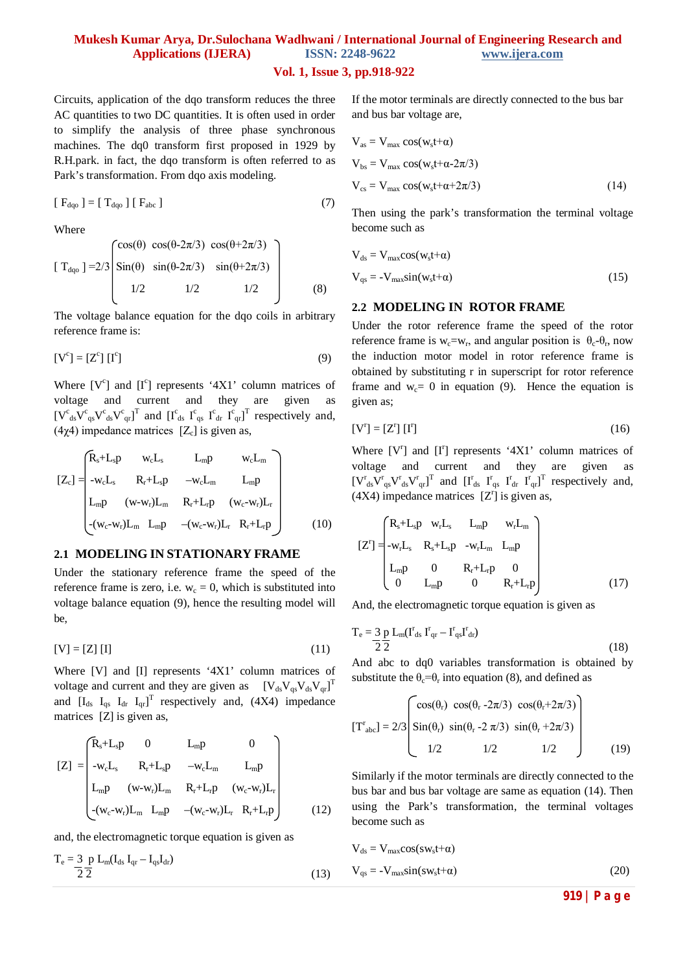# **Mukesh Kumar Arya, Dr.Sulochana Wadhwani / International Journal of Engineering Research and Applications (IJERA) ISSN: 2248-9622 www.ijera.com**

#### **Vol. 1, Issue 3, pp.918-922**

Circuits, application of the dqo transform reduces the three AC quantities to two DC quantities. It is often used in order to simplify the analysis of three phase synchronous machines. The dq0 transform first proposed in 1929 by R.H.park. in fact, the dqo transform is often referred to as Park's transformation. From dqo axis modeling.

$$
[F_{dqo}] = [T_{dqo}] [F_{abc}] \tag{7}
$$

Where

$$
[\ T_{\rm dqo} \ ] = 2/3 \begin{bmatrix} \cos(\theta) & \cos(\theta - 2\pi/3) & \cos(\theta + 2\pi/3) \\ \sin(\theta) & \sin(\theta - 2\pi/3) & \sin(\theta + 2\pi/3) \\ 1/2 & 1/2 & 1/2 \end{bmatrix}
$$
 (8)

The voltage balance equation for the dqo coils in arbitrary reference frame is:

$$
[\mathbf{V}^c] = [\mathbf{Z}^c][\mathbf{I}^c]
$$
 (9)

Where [V<sup>c</sup>] and [I<sup>c</sup>] represents '4Χ1' column matrices of voltage and current and they are given as  $[V^c{}_{ds}V^c{}_{qs}V^c{}_{qs}]^T$  and  $[I^c{}_{ds} I^c{}_{qs} I^c{}_{dr} I^c{}_{qr}]^T$  respectively and, (4χ4) impedance matrices  $[Z_c]$  is given as,

$$
[Z_{c}] = \begin{pmatrix} R_{s} + L_{s}p & w_{c}L_{s} & L_{m}p & w_{c}L_{m} \\ -w_{c}L_{s} & R_{r} + L_{s}p & -w_{c}L_{m} & L_{m}p \\ L_{m}p & (w-w_{r})L_{m} & R_{r} + L_{r}p & (w_{c}-w_{r})L_{r} \\ -(w_{c}-w_{r})L_{m} & L_{m}p & -(w_{c}-w_{r})L_{r} & R_{r} + L_{r}p \end{pmatrix}
$$
 (10)

#### **2.1 MODELING IN STATIONARY FRAME**

Under the stationary reference frame the speed of the reference frame is zero, i.e.  $w_c = 0$ , which is substituted into voltage balance equation (9), hence the resulting model will be,

$$
[V] = [Z] [I] \tag{11}
$$

Where [V] and [I] represents '4Χ1' column matrices of voltage and current and they are given as  $[V_{ds}V_{qs}V_{ds}V_{qr}]^T$ and  $[I_{ds} I_{qs} I_{dr} I_{qr}]^T$  respectively and, (4X4) impedance matrices [Z] is given as,

$$
[Z] = \begin{bmatrix} R_s + L_s p & 0 & L_m p & 0 \\ -w_c L_s & R_r + L_s p & -w_c L_m & L_m p \\ L_m p & (w \cdot w_r) L_m & R_r + L_r p & (w_c \cdot w_r) L_r \\ -(w_c \cdot w_r) L_m & L_m p & -(w_c \cdot w_r) L_r & R_r + L_r p \end{bmatrix}
$$
(12)

and, the electromagnetic torque equation is given as

$$
T_e = \frac{3}{2} \frac{p}{2} L_m (I_{ds} I_{qr} - I_{qs} I_{dr})
$$
\n(13)

If the motor terminals are directly connected to the bus bar and bus bar voltage are,

$$
V_{as} = V_{max} \cos(w_s t + \alpha)
$$
  
\n
$$
V_{bs} = V_{max} \cos(w_s t + \alpha - 2\pi/3)
$$
  
\n
$$
V_{cs} = V_{max} \cos(w_s t + \alpha + 2\pi/3)
$$
\n(14)

Then using the park's transformation the terminal voltage become such as

$$
V_{ds} = V_{max} cos(w_s t + \alpha)
$$
  
\n
$$
V_{qs} = -V_{max} sin(w_s t + \alpha)
$$
 (15)

#### **2.2 MODELING IN ROTOR FRAME**

Under the rotor reference frame the speed of the rotor reference frame is  $w_c = w_r$ , and angular position is  $\theta_c - \theta_r$ , now the induction motor model in rotor reference frame is obtained by substituting r in superscript for rotor reference frame and  $w_c = 0$  in equation (9). Hence the equation is given as;

$$
\begin{bmatrix} V^r \end{bmatrix} = \begin{bmatrix} Z^r \end{bmatrix} \begin{bmatrix} I^r \end{bmatrix} \tag{16}
$$

Where [V'] and [I'] represents '4X1' column matrices of voltage and current and they are given as  $[V^r{}_{ds}V^r{}_{qs}V^r{}_{qs}V^r{}_{qr}]^T$  and  $[I^r{}_{ds} I^r{}_{qs} I^r{}_{dr} I^r{}_{qr}]^T$  respectively and,  $(4X4)$  impedance matrices  $[Z^r]$  is given as,

$$
[Z^{r}] = \begin{pmatrix} R_{s} + L_{s}p & w_{r}L_{s} & L_{m}p & w_{r}L_{m} \\ -w_{r}L_{s} & R_{s} + L_{s}p & -w_{r}L_{m} & L_{m}p \\ L_{m}p & 0 & R_{r} + L_{r}p & 0 \\ 0 & L_{m}p & 0 & R_{r} + L_{r}p \end{pmatrix}
$$
(17)

And, the electromagnetic torque equation is given as

$$
T_e = \frac{3}{2} \frac{p}{2} L_m (I^r_{ds} I^r_{qr} - I^r_{qs} I^r_{dr})
$$
\n(18)

And abc to dq0 variables transformation is obtained by substitute the  $\theta_c = \theta_r$  into equation (8), and defined as

$$
[\mathbf{T}^{\mathrm{r}}_{abc}] = 2/3 \begin{bmatrix} \cos(\theta_{\mathrm{r}}) & \cos(\theta_{\mathrm{r}} - 2\pi/3) & \cos(\theta_{\mathrm{r}} + 2\pi/3) \\ \sin(\theta_{\mathrm{r}}) & \sin(\theta_{\mathrm{r}} - 2\pi/3) & \sin(\theta_{\mathrm{r}} + 2\pi/3) \\ 1/2 & 1/2 & 1/2 \end{bmatrix}
$$
(19)

Similarly if the motor terminals are directly connected to the bus bar and bus bar voltage are same as equation (14). Then using the Park's transformation, the terminal voltages become such as

$$
V_{ds} = V_{max} cos(sw_s t + \alpha)
$$
  
\n
$$
V_{qs} = -V_{max} sin(sw_s t + \alpha)
$$
 (20)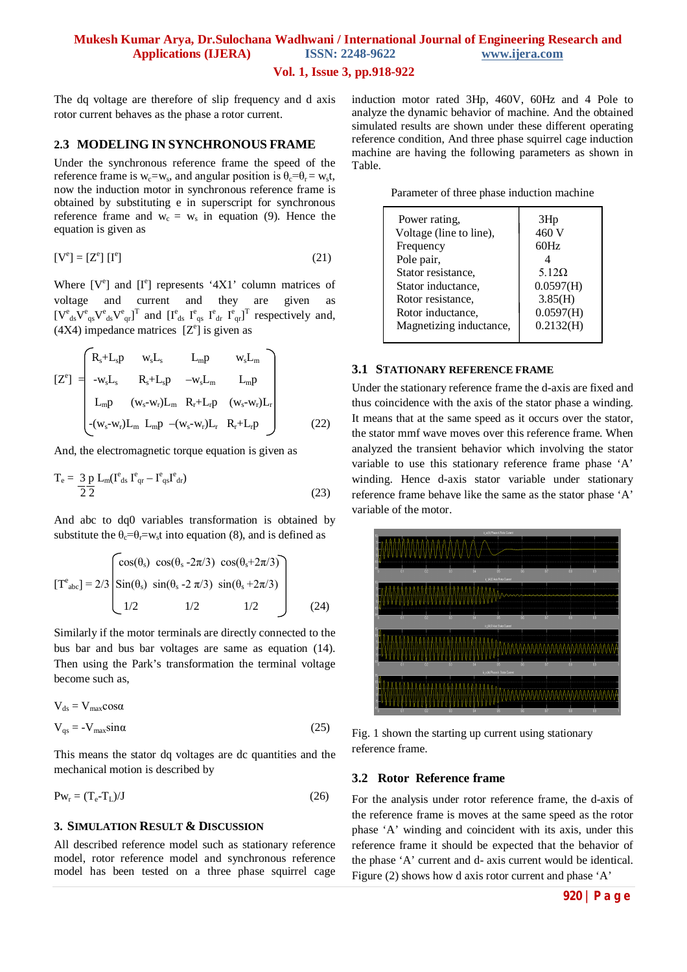# **Mukesh Kumar Arya, Dr.Sulochana Wadhwani / International Journal of Engineering Research and Applications (IJERA) ISSN: 2248-9622 www.ijera.com**

#### **Vol. 1, Issue 3, pp.918-922**

The dq voltage are therefore of slip frequency and d axis rotor current behaves as the phase a rotor current.

#### **2.3 MODELING IN SYNCHRONOUS FRAME**

Under the synchronous reference frame the speed of the reference frame is  $w_c = w_s$ , and angular position is  $\theta_c = \theta_r = w_s t$ , now the induction motor in synchronous reference frame is obtained by substituting e in superscript for synchronous reference frame and  $w_c = w_s$  in equation (9). Hence the equation is given as

$$
[\mathbf{V}^{\mathbf{e}}] = [\mathbf{Z}^{\mathbf{e}}] [\mathbf{I}^{\mathbf{e}}] \tag{21}
$$

Where [V<sup>e</sup>] and [I<sup>e</sup>] represents '4Χ1' column matrices of voltage and current and they are given as  $[V^e_{ds}V^e_{qs}V^e_{qs}]^T$  and  $[I^e_{ds} I^e_{qs} I^e_{dr} I^e_{qr}]^T$  respectively and,  $(4X4)$  impedance matrices  $[Z^e]$  is given as

$$
[Z^{e}] = \begin{bmatrix} R_{s} + L_{s}p & w_{s}L_{s} & L_{m}p & w_{s}L_{m} \\ -w_{s}L_{s} & R_{s} + L_{s}p & -w_{s}L_{m} & L_{m}p \\ L_{m}p & (w_{s} - w_{r})L_{m} & R_{r} + L_{r}p & (w_{s} - w_{r})L_{r} \\ - (w_{s} - w_{r})L_{m} & L_{m}p & -(w_{s} - w_{r})L_{r} & R_{r} + L_{r}p \end{bmatrix}
$$
(22)

And, the electromagnetic torque equation is given as

$$
T_e = \frac{3}{2} \frac{p}{2} L_m (I^e_{\text{ds}} I^e_{\text{qr}} - I^e_{\text{qs}} I^e_{\text{dr}})
$$
\n(23)

And abc to dq0 variables transformation is obtained by substitute the  $\theta_c = \theta_r = w_s t$  into equation (8), and is defined as

$$
[\text{T}^{\text{e}}{}_{\text{abc}}] = 2/3 \begin{bmatrix} \cos(\theta_{\text{s}}) & \cos(\theta_{\text{s}} - 2\pi/3) & \cos(\theta_{\text{s}} + 2\pi/3) \\ \sin(\theta_{\text{s}}) & \sin(\theta_{\text{s}} - 2\pi/3) & \sin(\theta_{\text{s}} + 2\pi/3) \\ 1/2 & 1/2 & 1/2 \end{bmatrix}
$$
(24)

Similarly if the motor terminals are directly connected to the bus bar and bus bar voltages are same as equation (14). Then using the Park's transformation the terminal voltage become such as,

$$
V_{ds} = V_{max} \cos \alpha
$$
  
\n
$$
V_{qs} = -V_{max} \sin \alpha
$$
 (25)

This means the stator dq voltages are dc quantities and the mechanical motion is described by

$$
P w_r = (T_e - T_L)/J \tag{26}
$$

#### **3. SIMULATION RESULT & DISCUSSION**

All described reference model such as stationary reference model, rotor reference model and synchronous reference model has been tested on a three phase squirrel cage induction motor rated 3Hp, 460V, 60Hz and 4 Pole to analyze the dynamic behavior of machine. And the obtained simulated results are shown under these different operating reference condition, And three phase squirrel cage induction machine are having the following parameters as shown in Table.

| Parameter of three phase induction machine |  |  |  |
|--------------------------------------------|--|--|--|
|--------------------------------------------|--|--|--|

| Power rating,<br>Voltage (line to line),<br>Frequency<br>Pole pair,<br>Stator resistance,<br>Stator inductance,<br>Rotor resistance,<br>Rotor inductance,<br>Magnetizing inductance, | 3Hp<br>460 V<br>60Hz<br>$5.12\Omega$<br>0.0597(H)<br>3.85(H)<br>0.0597(H)<br>0.2132(H) |
|--------------------------------------------------------------------------------------------------------------------------------------------------------------------------------------|----------------------------------------------------------------------------------------|
|                                                                                                                                                                                      |                                                                                        |
|                                                                                                                                                                                      |                                                                                        |

#### **3.1 STATIONARY REFERENCE FRAME**

Under the stationary reference frame the d-axis are fixed and thus coincidence with the axis of the stator phase a winding. It means that at the same speed as it occurs over the stator, the stator mmf wave moves over this reference frame. When analyzed the transient behavior which involving the stator variable to use this stationary reference frame phase 'A' winding. Hence d-axis stator variable under stationary reference frame behave like the same as the stator phase 'A' variable of the motor.



Fig. 1 shown the starting up current using stationary reference frame.

#### **3.2 Rotor Reference frame**

For the analysis under rotor reference frame, the d-axis of the reference frame is moves at the same speed as the rotor phase 'A' winding and coincident with its axis, under this reference frame it should be expected that the behavior of the phase 'A' current and d- axis current would be identical. Figure (2) shows how d axis rotor current and phase 'A'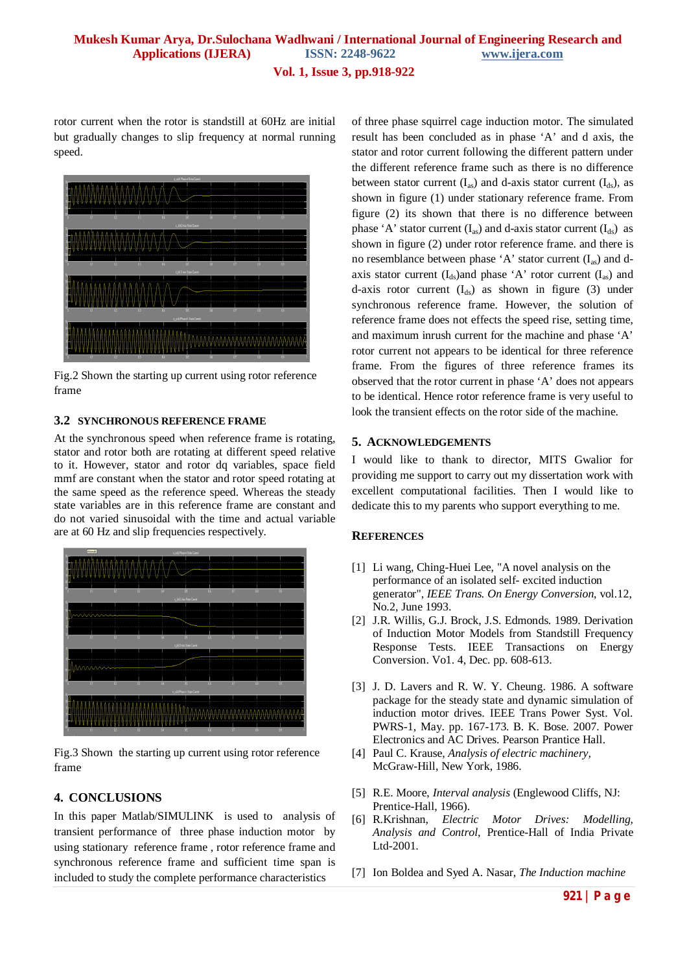# **Mukesh Kumar Arya, Dr.Sulochana Wadhwani / International Journal of Engineering Research and Applications (IJERA) ISSN: 2248-9622 www.ijera.com**

**Vol. 1, Issue 3, pp.918-922**

rotor current when the rotor is standstill at 60Hz are initial but gradually changes to slip frequency at normal running speed.



Fig.2 Shown the starting up current using rotor reference frame

### **3.2 SYNCHRONOUS REFERENCE FRAME**

At the synchronous speed when reference frame is rotating, stator and rotor both are rotating at different speed relative to it. However, stator and rotor dq variables, space field mmf are constant when the stator and rotor speed rotating at the same speed as the reference speed. Whereas the steady state variables are in this reference frame are constant and do not varied sinusoidal with the time and actual variable are at 60 Hz and slip frequencies respectively.



Fig.3 Shown the starting up current using rotor reference frame

## **4. CONCLUSIONS**

In this paper Matlab/SIMULINK is used to analysis of transient performance of three phase induction motor by using stationary reference frame , rotor reference frame and synchronous reference frame and sufficient time span is included to study the complete performance characteristics

of three phase squirrel cage induction motor. The simulated result has been concluded as in phase 'A' and d axis, the stator and rotor current following the different pattern under the different reference frame such as there is no difference between stator current  $(I_{as})$  and d-axis stator current  $(I_{ds})$ , as shown in figure (1) under stationary reference frame. From figure (2) its shown that there is no difference between phase 'A' stator current  $(I_{as})$  and d-axis stator current  $(I_{ds})$  as shown in figure (2) under rotor reference frame. and there is no resemblance between phase 'A' stator current  $(I_{as})$  and daxis stator current  $(I_{ds})$  and phase 'A' rotor current  $(I_{as})$  and d-axis rotor current  $(I_{ds})$  as shown in figure (3) under synchronous reference frame. However, the solution of reference frame does not effects the speed rise, setting time, and maximum inrush current for the machine and phase 'A' rotor current not appears to be identical for three reference frame. From the figures of three reference frames its observed that the rotor current in phase 'A' does not appears to be identical. Hence rotor reference frame is very useful to look the transient effects on the rotor side of the machine.

#### **5. ACKNOWLEDGEMENTS**

I would like to thank to director, MITS Gwalior for providing me support to carry out my dissertation work with excellent computational facilities. Then I would like to dedicate this to my parents who support everything to me.

#### **REFERENCES**

- [1] Li wang, Ching-Huei Lee, "A novel analysis on the performance of an isolated self- excited induction generator", *IEEE Trans. On Energy Conversion*, vol.12, No.2, June 1993.
- [2] J.R. Willis, G.J. Brock, J.S. Edmonds. 1989. Derivation of Induction Motor Models from Standstill Frequency Response Tests. IEEE Transactions on Energy Conversion. Vo1. 4, Dec. pp. 608-613.
- [3] J. D. Lavers and R. W. Y. Cheung. 1986. A software package for the steady state and dynamic simulation of induction motor drives. IEEE Trans Power Syst. Vol. PWRS-1, May. pp. 167-173. B. K. Bose. 2007. Power Electronics and AC Drives. Pearson Prantice Hall.
- [4] Paul C. Krause, *Analysis of electric machinery,*  McGraw-Hill, New York, 1986.
- [5] R.E. Moore, *Interval analysis* (Englewood Cliffs, NJ: Prentice-Hall, 1966).
- [6] R.Krishnan, *Electric Motor Drives: Modelling, Analysis and Control*, Prentice-Hall of India Private Ltd-2001.
- [7] Ion Boldea and Syed A. Nasar, *The Induction machine*